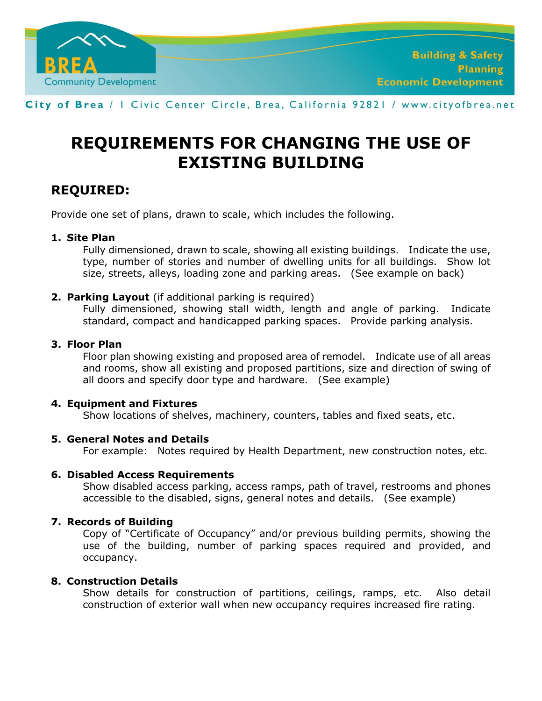

City of Brea / I Civic Center Circle, Brea, California 92821 / www.cityofbrea.net

# **REQUIREMENTS FOR CHANGING THE USE OF EXISTING BUILDING**

# **REQUIRED:**

Provide one set of plans, drawn to scale, which includes the following.

#### **1. Site Plan**

Fully dimensioned, drawn to scale, showing all existing buildings. Indicate the use, type, number of stories and number of dwelling units for all buildings. Show lot size, streets, alleys, loading zone and parking areas. (See example on back)

#### **2. Parking Layout** (if additional parking is required)

Fully dimensioned, showing stall width, length and angle of parking. Indicate standard, compact and handicapped parking spaces. Provide parking analysis.

#### **3. Floor Plan**

Floor plan showing existing and proposed area of remodel. Indicate use of all areas and rooms, show all existing and proposed partitions, size and direction of swing of all doors and specify door type and hardware. (See example)

# **4. Equipment and Fixtures**

Show locations of shelves, machinery, counters, tables and fixed seats, etc.

# **5. General Notes and Details**

For example: Notes required by Health Department, new construction notes, etc.

# **6. Disabled Access Requirements**

Show disabled access parking, access ramps, path of travel, restrooms and phones accessible to the disabled, signs, general notes and details. (See example)

# **7. Records of Building**

Copy of "Certificate of Occupancy" and/or previous building permits, showing the use of the building, number of parking spaces required and provided, and occupancy.

#### **8. Construction Details**

Show details for construction of partitions, ceilings, ramps, etc. Also detail construction of exterior wall when new occupancy requires increased fire rating.